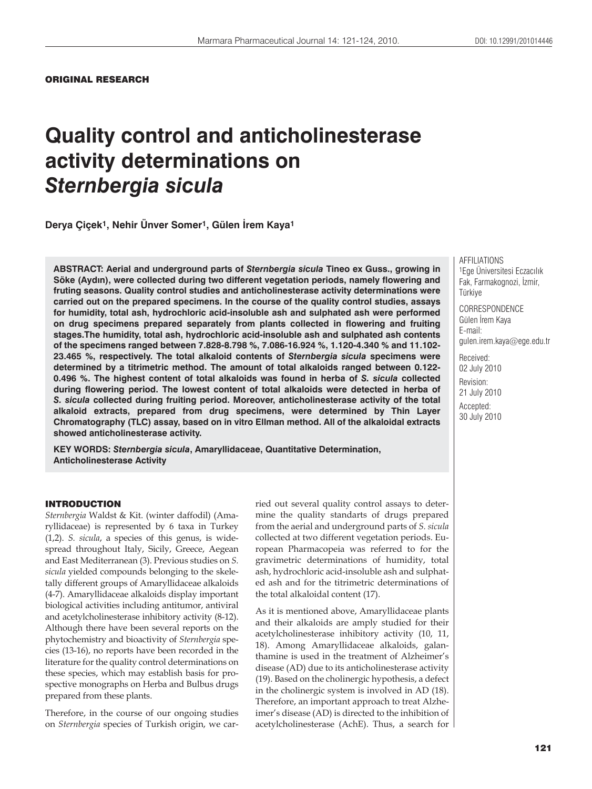ORIGINAL RESEARCH

# **Quality control and anticholinesterase activity determinations on**  *Sternbergia sicula*

**Derya Çiçek1, Nehir Ünver Somer1, Gülen úrem Kaya1**

**ABSTRACT: Aerial and underground parts of** *Sternbergia sicula* **Tineo ex Guss., growing in**  Söke (Aydın), were collected during two different vegetation periods, namely flowering and **fruting seasons. Quality control studies and anticholinesterase activity determinations were carried out on the prepared specimens. In the course of the quality control studies, assays for humidity, total ash, hydrochloric acid-insoluble ash and sulphated ash were performed on drug specimens prepared separately from plants collected in flowering and fruiting stages.The humidity, total ash, hydrochloric acid-insoluble ash and sulphated ash contents of the specimens ranged between 7.828-8.798 %, 7.086-16.924 %, 1.120-4.340 % and 11.102- 23.465 %, respectively. The total alkaloid contents of** *Sternbergia sicula* **specimens were determined by a titrimetric method. The amount of total alkaloids ranged between 0.122- 0.496 %. The highest content of total alkaloids was found in herba of** *S. sicula* **collected during flowering period. The lowest content of total alkaloids were detected in herba of**  *S. sicula* **collected during fruiting period. Moreover, anticholinesterase activity of the total alkaloid extracts, prepared from drug specimens, were determined by Thin Layer Chromatography (TLC) assay, based on in vitro Ellman method. All of the alkaloidal extracts showed anticholinesterase activity.**

**KEY WORDS:** *Sternbergia sicula***, Amaryllidaceae, Quantitative Determination, Anticholinesterase Activity**

AFFILIATIONS 1Ege Üniversitesi Eczacılık Fak, Farmakognozi, İzmir, Türkiye

**CORRESPONDENCE** Gülen İrem Kaya E-mail: gulen.irem.kaya@ege.edu.tr

Received: 02 July 2010 Revision: 21 July 2010 Accepted: 30 July 2010

## INTRODUCTION

*Sternbergia* Waldst & Kit. (winter daffodil) (Amaryllidaceae) is represented by 6 taxa in Turkey (1,2). *S. sicula*, a species of this genus, is widespread throughout Italy, Sicily, Greece, Aegean and East Mediterranean (3). Previous studies on *S. sicula* yielded compounds belonging to the skeletally different groups of Amaryllidaceae alkaloids (4-7). Amaryllidaceae alkaloids display important biological activities including antitumor, antiviral and acetylcholinesterase inhibitory activity (8-12). Although there have been several reports on the phytochemistry and bioactivity of *Sternbergia* species (13-16), no reports have been recorded in the literature for the quality control determinations on these species, which may establish basis for prospective monographs on Herba and Bulbus drugs prepared from these plants.

Therefore, in the course of our ongoing studies on *Sternbergia* species of Turkish origin, we carried out several quality control assays to determine the quality standarts of drugs prepared from the aerial and underground parts of *S. sicula* collected at two different vegetation periods. European Pharmacopeia was referred to for the gravimetric determinations of humidity, total ash, hydrochloric acid-insoluble ash and sulphated ash and for the titrimetric determinations of the total alkaloidal content (17).

As it is mentioned above, Amaryllidaceae plants and their alkaloids are amply studied for their acetylcholinesterase inhibitory activity (10, 11, 18). Among Amaryllidaceae alkaloids, galanthamine is used in the treatment of Alzheimer's disease (AD) due to its anticholinesterase activity (19). Based on the cholinergic hypothesis, a defect in the cholinergic system is involved in AD (18). Therefore, an important approach to treat Alzheimer's disease (AD) is directed to the inhibition of acetylcholinesterase (AchE). Thus, a search for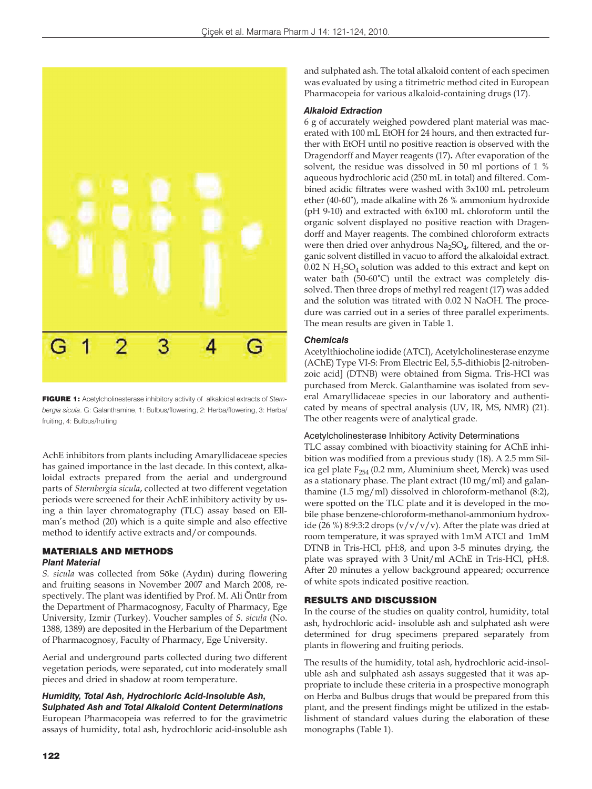

FIGURE 1: Acetylcholinesterase inhibitory activity of alkaloidal extracts of *Sternbergia sicula*. G: Galanthamine, 1: Bulbus/flowering, 2: Herba/flowering, 3: Herba/ fruiting, 4: Bulbus/fruiting

AchE inhibitors from plants including Amaryllidaceae species has gained importance in the last decade. In this context, alkaloidal extracts prepared from the aerial and underground parts of *Sternbergia sicula*, collected at two different vegetation periods were screened for their AchE inhibitory activity by using a thin layer chromatography (TLC) assay based on Ellman's method (20) which is a quite simple and also effective method to identify active extracts and/or compounds.

#### MATERIALS AND METHODS *Plant Material*

*S. sicula* was collected from Söke (Aydın) during flowering and fruiting seasons in November 2007 and March 2008, respectively. The plant was identified by Prof. M. Ali Önür from the Department of Pharmacognosy, Faculty of Pharmacy, Ege University, Izmir (Turkey). Voucher samples of *S. sicula* (No. 1388, 1389) are deposited in the Herbarium of the Department of Pharmacognosy, Faculty of Pharmacy, Ege University.

Aerial and underground parts collected during two different vegetation periods, were separated, cut into moderately small pieces and dried in shadow at room temperature.

## *Humidity, Total Ash, Hydrochloric Acid-Insoluble Ash, Sulphated Ash and Total Alkaloid Content Determinations*  European Pharmacopeia was referred to for the gravimetric

assays of humidity, total ash, hydrochloric acid-insoluble ash

and sulphated ash. The total alkaloid content of each specimen was evaluated by using a titrimetric method cited in European Pharmacopeia for various alkaloid-containing drugs (17).

#### *Alkaloid Extraction*

6 g of accurately weighed powdered plant material was macerated with 100 mL EtOH for 24 hours, and then extracted further with EtOH until no positive reaction is observed with the Dragendorff and Mayer reagents (17)**.** After evaporation of the solvent, the residue was dissolved in 50 ml portions of 1 % aqueous hydrochloric acid (250 mL in total) and filtered. Combined acidic filtrates were washed with 3x100 mL petroleum ether (40-60˚), made alkaline with 26 % ammonium hydroxide (pH 9-10) and extracted with 6x100 mL chloroform until the organic solvent displayed no positive reaction with Dragendorff and Mayer reagents. The combined chloroform extracts were then dried over anhydrous  $Na<sub>2</sub>SO<sub>4</sub>$ , filtered, and the organic solvent distilled in vacuo to afford the alkaloidal extract.  $0.02$  N H<sub>2</sub>SO<sub>4</sub> solution was added to this extract and kept on water bath (50-60˚C) until the extract was completely dissolved. Then three drops of methyl red reagent (17) was added and the solution was titrated with 0.02 N NaOH. The procedure was carried out in a series of three parallel experiments. The mean results are given in Table 1.

## *Chemicals*

Acetylthiocholine iodide (ATCI), Acetylcholinesterase enzyme (AChE) Type VI-S: From Electric Eel, 5,5-dithiobis [2-nitrobenzoic acid] (DTNB) were obtained from Sigma. Tris-HCl was purchased from Merck. Galanthamine was isolated from several Amaryllidaceae species in our laboratory and authenticated by means of spectral analysis (UV, IR, MS, NMR) (21). The other reagents were of analytical grade.

## Acetylcholinesterase Inhibitory Activity Determinations

TLC assay combined with bioactivity staining for AChE inhibition was modified from a previous study (18). A 2.5 mm Silica gel plate  $F_{254}$  (0.2 mm, Aluminium sheet, Merck) was used as a stationary phase. The plant extract (10 mg/ml) and galanthamine (1.5 mg/ml) dissolved in chloroform-methanol (8:2), were spotted on the TLC plate and it is developed in the mobile phase benzene-chloroform-methanol-ammonium hydroxide (26 %) 8:9:3:2 drops  $(v/v/v)$ . After the plate was dried at room temperature, it was sprayed with 1mM ATCI and 1mM DTNB in Tris-HCl, pH:8, and upon 3-5 minutes drying, the plate was sprayed with 3 Unit/ml AChE in Tris-HCl, pH:8. After 20 minutes a yellow background appeared; occurrence of white spots indicated positive reaction.

## RESULTS AND DISCUSSION

In the course of the studies on quality control, humidity, total ash, hydrochloric acid- insoluble ash and sulphated ash were determined for drug specimens prepared separately from plants in flowering and fruiting periods.

The results of the humidity, total ash, hydrochloric acid-insoluble ash and sulphated ash assays suggested that it was appropriate to include these criteria in a prospective monograph on Herba and Bulbus drugs that would be prepared from this plant, and the present findings might be utilized in the establishment of standard values during the elaboration of these monographs (Table 1).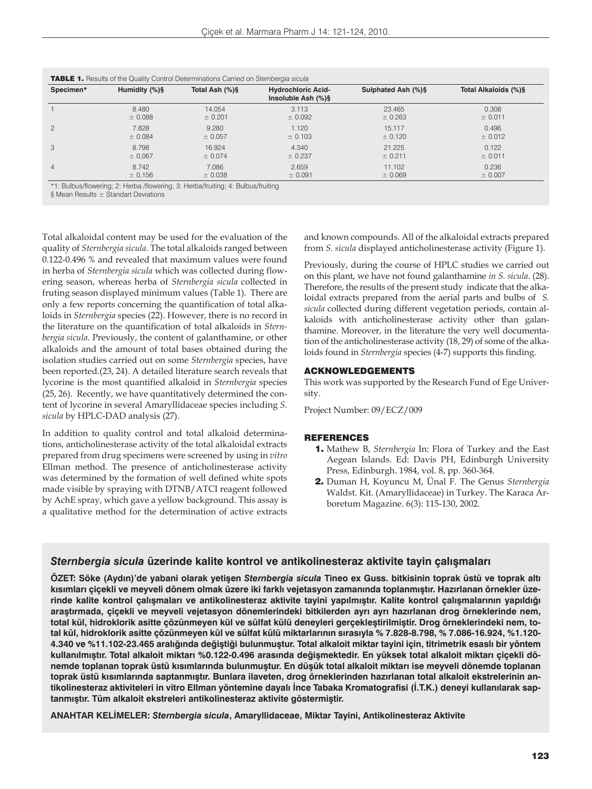| Specimen*      | Humidity (%)§ | Total Ash (%)§ | <b>Hydrochloric Acid-</b><br>Insoluble Ash (%)§ | Sulphated Ash (%)§ | Total Alkaloids (%)§ |
|----------------|---------------|----------------|-------------------------------------------------|--------------------|----------------------|
|                | 8.480         | 14.054         | 3.113                                           | 23.465             | 0.308                |
|                | ± 0.088       | ± 0.201        | ± 0.092                                         | ± 0.263            | ± 0.011              |
| 2              | 7.828         | 9.280          | 1.120                                           | 15.117             | 0.496                |
|                | ± 0.084       | ± 0.057        | ± 0.103                                         | ± 0.120            | ± 0.012              |
| 3              | 8.798         | 16.924         | 4.340                                           | 21.225             | 0.122                |
|                | ± 0,067       | ± 0.074        | ± 0.237                                         | ± 0.211            | ± 0.011              |
| $\overline{4}$ | 8.742         | 7.086          | 2.659                                           | 11.102             | 0.236                |
|                | ± 0,156       | $\pm$ 0.038    | ± 0.091                                         | ± 0.069            | ± 0.007              |

\*1: Bulbus/flowering; 2: Herba /flowering; 3: Herba/fruiting; 4: Bulbus/fruiting

§ Mean Results ± Standart Deviations

Total alkaloidal content may be used for the evaluation of the quality of *Sternbergia sicula.* The total alkaloids ranged between 0.122-0.496 % and revealed that maximum values were found in herba of *Sternbergia sicula* which was collected during flowering season, whereas herba of *Sternbergia sicula* collected in fruting season displayed minimum values (Table 1). There are only a few reports concerning the quantification of total alkaloids in *Sternbergia* species (22). However, there is no record in the literature on the quantification of total alkaloids in *Sternbergia sicula*. Previously, the content of galanthamine, or other alkaloids and the amount of total bases obtained during the isolation studies carried out on some *Sternbergia* species, have been reported.(23, 24). A detailed literature search reveals that lycorine is the most quantified alkaloid in *Sternbergia* species (25, 26). Recently, we have quantitatively determined the content of lycorine in several Amaryllidaceae species including *S. sicula* by HPLC-DAD analysis (27).

In addition to quality control and total alkaloid determinations, anticholinesterase activity of the total alkaloidal extracts prepared from drug specimens were screened by using in *vitro* Ellman method. The presence of anticholinesterase activity was determined by the formation of well defined white spots made visible by spraying with DTNB/ATCI reagent followed by AchE spray, which gave a yellow background. This assay is a qualitative method for the determination of active extracts

and known compounds. All of the alkaloidal extracts prepared from *S. sicula* displayed anticholinesterase activity (Figure 1).

Previously, during the course of HPLC studies we carried out on this plant, we have not found galanthamine *in S. sicula*. (28). Therefore, the results of the present study indicate that the alkaloidal extracts prepared from the aerial parts and bulbs of *S. sicula* collected during different vegetation periods, contain alkaloids with anticholinesterase activity other than galanthamine. Moreover, in the literature the very well documentation of the anticholinesterase activity (18, 29) of some of the alkaloids found in *Sternbergia* species (4-7) supports this finding.

#### ACKNOWLEDGEMENTS

This work was supported by the Research Fund of Ege University.

Project Number: 09/ECZ/009

#### REFERENCES

- 1. Mathew B, *Sternbergia* In: Flora of Turkey and the East Aegean Islands. Ed: Davis PH, Edinburgh University Press, Edinburgh. 1984, vol. 8, pp. 360-364.
- 2. Duman H, Koyuncu M, Ünal F. The Genus *Sternbergia* Waldst. Kit. (Amaryllidaceae) in Turkey. The Karaca Arboretum Magazine. 6(3): 115-130, 2002.

# *Sternbergia sicula* **üzerinde kalite kontrol ve antikolinesteraz aktivite tayin çalışmaları**

**ÖZET: Söke (Aydın)'de yabani olarak yetişen** *Sternbergia sicula* **Tineo ex Guss. bitkisinin toprak üstü ve toprak altı kısımları çiçekli ve meyveli dönem olmak üzere iki farklı vejetasyon zamanında toplanmıştır. Hazırlanan örnekler üzerinde kalite kontrol çalışmaları ve antikolinesteraz aktivite tayini yapılmıştır. Kalite kontrol çalışmalarının yapıldığı araştırmada, çiçekli ve meyveli vejetasyon dönemlerindeki bitkilerden ayrı ayrı hazırlanan drog örneklerinde nem, total kül, hidroklorik asitte çözünmeyen kül ve sülfat külü deneyleri gerçekleştirilmiştir. Drog örneklerindeki nem, total kül, hidroklorik asitte çözünmeyen kül ve sülfat külü miktarlarının sırasıyla % 7.828-8.798, % 7.086-16.924, %1.120- 4.340 ve %11.102-23.465 aralığında değiştiği bulunmuştur. Total alkaloit miktar tayini için, titrimetrik esaslı bir yöntem kullanılmıştır. Total alkaloit miktarı %0.122-0.496 arasında değişmektedir. En yüksek total alkaloit miktarı çiçekli dönemde toplanan toprak üstü kısımlarında bulunmuştur. En düşük total alkaloit miktarı ise meyveli dönemde toplanan toprak üstü kısımlarında saptanmıştır. Bunlara ilaveten, drog örneklerinden hazırlanan total alkaloit ekstrelerinin antikolinesteraz aktiviteleri in vitro Ellman yöntemine dayalı İnce Tabaka Kromatografisi (İ.T.K.) deneyi kullanılarak saptanmıştır. Tüm alkaloit ekstreleri antikolinesteraz aktivite göstermiştir.**

**ANAHTAR KELİMELER:** *Sternbergia sicula***, Amaryllidaceae, Miktar Tayini, Antikolinesteraz Aktivite**